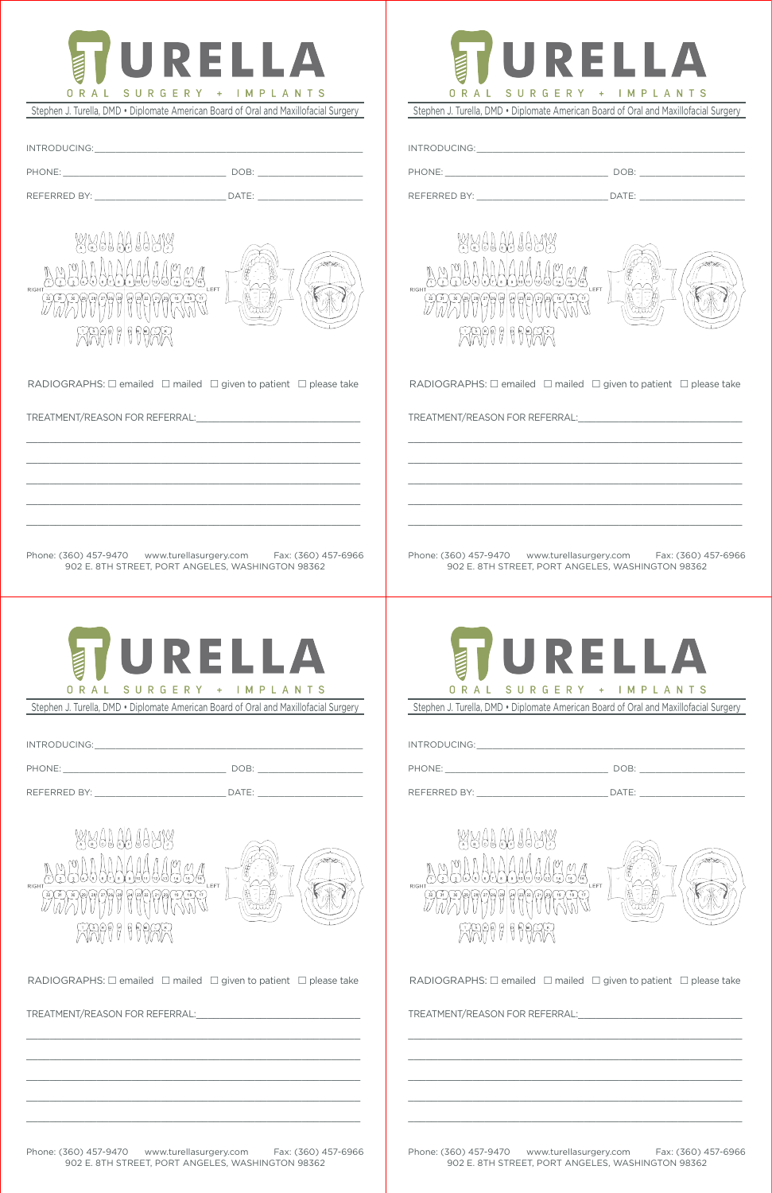

Stephen J. Turella, DMD • Diplomate American Board of Oral and Maxillofacial Surgery

| INTRODUCING: |       |
|--------------|-------|
| PHONE:       | DOB:  |
| REFERRED BY: | DATE: |



RADIOGRAPHS:  $\Box$  emailed  $\Box$  mailed  $\Box$  given to patient  $\Box$  please take

 $\mathcal{L}_\mathcal{L}$  , and the contribution of the contribution of the contribution of the contribution of the contribution of the contribution of the contribution of the contribution of the contribution of the contribution of

 $\mathcal{L}_\mathcal{L}$  , and the contribution of the contribution of the contribution of the contribution of the contribution of the contribution of the contribution of the contribution of the contribution of the contribution of

 $\mathcal{L}_\mathcal{L}$  , and the contribution of the contribution of the contribution of the contribution of the contribution of the contribution of the contribution of the contribution of the contribution of the contribution of

 $\mathcal{L}_\text{max} = \mathcal{L}_\text{max} = \mathcal{L}_\text{max} = \mathcal{L}_\text{max} = \mathcal{L}_\text{max} = \mathcal{L}_\text{max} = \mathcal{L}_\text{max} = \mathcal{L}_\text{max} = \mathcal{L}_\text{max} = \mathcal{L}_\text{max} = \mathcal{L}_\text{max} = \mathcal{L}_\text{max} = \mathcal{L}_\text{max} = \mathcal{L}_\text{max} = \mathcal{L}_\text{max} = \mathcal{L}_\text{max} = \mathcal{L}_\text{max} = \mathcal{L}_\text{max} = \mathcal{$ 

 $\mathcal{L}_\mathcal{L}$  , and the contribution of the contribution of the contribution of the contribution of the contribution of the contribution of the contribution of the contribution of the contribution of the contribution of

TREATMENT/REASON FOR REFERRAL:

Phone: (360) 457-9470 www.turellasurgery.com Fax: (360) 457-6966 902 E. 8TH STREET, PORT ANGELES, WASHINGTON 98362